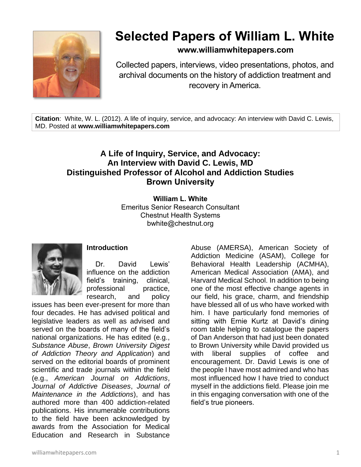

# **Selected Papers of William L. White**

# **www.williamwhitepapers.com**

Collected papers, interviews, video presentations, photos, and archival documents on the history of addiction treatment and recovery in America.

**Citation**: White, W. L. (2012). A life of inquiry, service, and advocacy: An interview with David C. Lewis, MD. Posted at **www.williamwhitepapers.com**

# **A Life of Inquiry, Service, and Advocacy: An Interview with David C. Lewis, MD Distinguished Professor of Alcohol and Addiction Studies Brown University**

**William L. White** Emeritus Senior Research Consultant Chestnut Health Systems bwhite@chestnut.org



# **Introduction**

Dr. David Lewis' influence on the addiction field's training, clinical, professional practice, research, and policy

issues has been ever-present for more than four decades. He has advised political and legislative leaders as well as advised and served on the boards of many of the field's national organizations. He has edited (e.g., *Substance Abuse*, *Brown University Digest of Addiction Theory and Application*) and served on the editorial boards of prominent scientific and trade journals within the field (e.g., *American Journal on Addictions*, *Journal of Addictive Diseases*, *Journal of Maintenance in the Addictions*), and has authored more than 400 addiction-related publications. His innumerable contributions to the field have been acknowledged by awards from the Association for Medical Education and Research in Substance

Abuse (AMERSA), American Society of Addiction Medicine (ASAM), College for Behavioral Health Leadership (ACMHA), American Medical Association (AMA), and Harvard Medical School. In addition to being one of the most effective change agents in our field, his grace, charm, and friendship have blessed all of us who have worked with him. I have particularly fond memories of sitting with Ernie Kurtz at David's dining room table helping to catalogue the papers of Dan Anderson that had just been donated to Brown University while David provided us with liberal supplies of coffee and encouragement. Dr. David Lewis is one of the people I have most admired and who has most influenced how I have tried to conduct myself in the addictions field. Please join me in this engaging conversation with one of the field's true pioneers.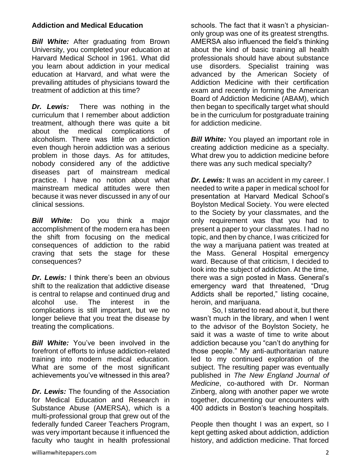### **Addiction and Medical Education**

*Bill White:* After graduating from Brown University, you completed your education at Harvard Medical School in 1961. What did you learn about addiction in your medical education at Harvard, and what were the prevailing attitudes of physicians toward the treatment of addiction at this time?

*Dr. Lewis:* There was nothing in the curriculum that I remember about addiction treatment, although there was quite a bit about the medical complications of alcoholism. There was little on addiction even though heroin addiction was a serious problem in those days. As for attitudes, nobody considered any of the addictive diseases part of mainstream medical practice. I have no notion about what mainstream medical attitudes were then because it was never discussed in any of our clinical sessions.

*Bill White:* Do you think a major accomplishment of the modern era has been the shift from focusing on the medical consequences of addiction to the rabid craving that sets the stage for these consequences?

*Dr. Lewis:* I think there's been an obvious shift to the realization that addictive disease is central to relapse and continued drug and alcohol use. The interest in the complications is still important, but we no longer believe that you treat the disease by treating the complications.

*Bill White:* You've been involved in the forefront of efforts to infuse addiction-related training into modern medical education. What are some of the most significant achievements you've witnessed in this area?

*Dr. Lewis:* The founding of the Association for Medical Education and Research in Substance Abuse (AMERSA), which is a multi-professional group that grew out of the federally funded Career Teachers Program, was very important because it influenced the faculty who taught in health professional schools. The fact that it wasn't a physicianonly group was one of its greatest strengths. AMERSA also influenced the field's thinking about the kind of basic training all health professionals should have about substance use disorders. Specialist training was advanced by the American Society of Addiction Medicine with their certification exam and recently in forming the American Board of Addiction Medicine (ABAM), which then began to specifically target what should be in the curriculum for postgraduate training for addiction medicine.

**Bill White:** You played an important role in creating addiction medicine as a specialty. What drew you to addiction medicine before there was any such medical specialty?

*Dr. Lewis:* It was an accident in my career. I needed to write a paper in medical school for presentation at Harvard Medical School's Boylston Medical Society. You were elected to the Society by your classmates, and the only requirement was that you had to present a paper to your classmates. I had no topic, and then by chance, I was criticized for the way a marijuana patient was treated at the Mass. General Hospital emergency ward. Because of that criticism, I decided to look into the subject of addiction. At the time, there was a sign posted in Mass. General's emergency ward that threatened, "Drug Addicts shall be reported," listing cocaine, heroin, and marijuana.

So, I started to read about it, but there wasn't much in the library, and when I went to the advisor of the Boylston Society, he said it was a waste of time to write about addiction because you "can't do anything for those people." My anti-authoritarian nature led to my continued exploration of the subject. The resulting paper was eventually published in *The New England Journal of Medicine*, co-authored with Dr. Norman Zinberg, along with another paper we wrote together, documenting our encounters with 400 addicts in Boston's teaching hospitals.

People then thought I was an expert, so I kept getting asked about addiction, addiction history, and addiction medicine. That forced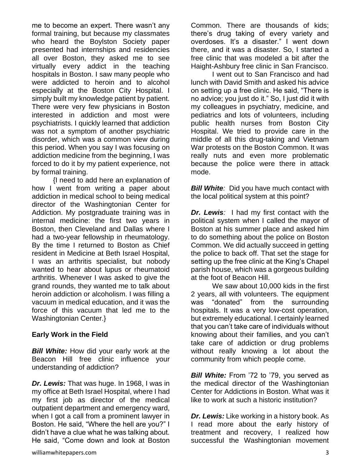me to become an expert. There wasn't any formal training, but because my classmates who heard the Boylston Society paper presented had internships and residencies all over Boston, they asked me to see virtually every addict in the teaching hospitals in Boston. I saw many people who were addicted to heroin and to alcohol especially at the Boston City Hospital. I simply built my knowledge patient by patient. There were very few physicians in Boston interested in addiction and most were psychiatrists. I quickly learned that addiction was not a symptom of another psychiatric disorder, which was a common view during this period. When you say I was focusing on addiction medicine from the beginning, I was forced to do it by my patient experience, not by formal training.

{I need to add here an explanation of how I went from writing a paper about addiction in medical school to being medical director of the Washingtonian Center for Addiction. My postgraduate training was in internal medicine: the first two years in Boston, then Cleveland and Dallas where I had a two-year fellowship in rheumatology. By the time I returned to Boston as Chief resident in Medicine at Beth Israel Hospital, I was an arthritis specialist, but nobody wanted to hear about lupus or rheumatoid arthritis. Whenever I was asked to give the grand rounds, they wanted me to talk about heroin addiction or alcoholism. I was filling a vacuum in medical education, and it was the force of this vacuum that led me to the Washingtonian Center.}

#### **Early Work in the Field**

**Bill White:** How did your early work at the Beacon Hill free clinic influence your understanding of addiction?

*Dr. Lewis:* That was huge. In 1968, I was in my office at Beth Israel Hospital, where I had my first job as director of the medical outpatient department and emergency ward, when I got a call from a prominent lawyer in Boston. He said, "Where the hell are you?" I didn't have a clue what he was talking about. He said, "Come down and look at Boston Common. There are thousands of kids; there's drug taking of every variety and overdoses. It's a disaster." I went down there, and it was a disaster. So, I started a free clinic that was modeled a bit after the Haight-Ashbury free clinic in San Francisco.

I went out to San Francisco and had lunch with David Smith and asked his advice on setting up a free clinic. He said, "There is no advice; you just do it." So, I just did it with my colleagues in psychiatry, medicine, and pediatrics and lots of volunteers, including public health nurses from Boston City Hospital. We tried to provide care in the middle of all this drug-taking and Vietnam War protests on the Boston Common. It was really nuts and even more problematic because the police were there in attack mode.

*Bill White:* Did you have much contact with the local political system at this point?

*Dr. Lewis:* I had my first contact with the political system when I called the mayor of Boston at his summer place and asked him to do something about the police on Boston Common. We did actually succeed in getting the police to back off. That set the stage for setting up the free clinic at the King's Chapel parish house, which was a gorgeous building at the foot of Beacon Hill.

We saw about 10,000 kids in the first 2 years, all with volunteers. The equipment was "donated" from the surrounding hospitals. It was a very low-cost operation, but extremely educational. I certainly learned that you can't take care of individuals without knowing about their families, and you can't take care of addiction or drug problems without really knowing a lot about the community from which people come.

*Bill White:* From '72 to '79, you served as the medical director of the Washingtonian Center for Addictions in Boston. What was it like to work at such a historic institution?

*Dr. Lewis:* Like working in a history book. As I read more about the early history of treatment and recovery, I realized how successful the Washingtonian movement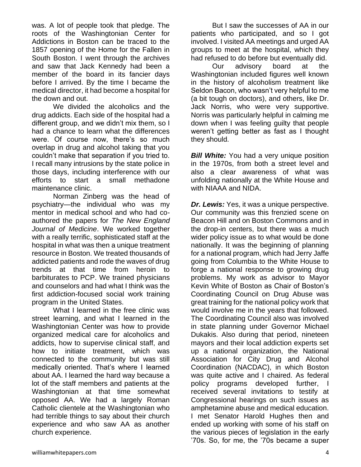was. A lot of people took that pledge. The roots of the Washingtonian Center for Addictions in Boston can be traced to the 1857 opening of the Home for the Fallen in South Boston. I went through the archives and saw that Jack Kennedy had been a member of the board in its fancier days before I arrived. By the time I became the medical director, it had become a hospital for the down and out.

We divided the alcoholics and the drug addicts. Each side of the hospital had a different group, and we didn't mix them, so I had a chance to learn what the differences were. Of course now, there's so much overlap in drug and alcohol taking that you couldn't make that separation if you tried to. I recall many intrusions by the state police in those days, including interference with our efforts to start a small methadone maintenance clinic.

Norman Zinberg was the head of psychiatry—the individual who was my mentor in medical school and who had coauthored the papers for *The New England Journal of Medicine*. We worked together with a really terrific, sophisticated staff at the hospital in what was then a unique treatment resource in Boston. We treated thousands of addicted patients and rode the waves of drug trends at that time from heroin to barbiturates to PCP. We trained physicians and counselors and had what I think was the first addiction-focused social work training program in the United States.

What I learned in the free clinic was street learning, and what I learned in the Washingtonian Center was how to provide organized medical care for alcoholics and addicts, how to supervise clinical staff, and how to initiate treatment, which was connected to the community but was still medically oriented. That's where I learned about AA. I learned the hard way because a lot of the staff members and patients at the Washingtonian at that time somewhat opposed AA. We had a largely Roman Catholic clientele at the Washingtonian who had terrible things to say about their church experience and who saw AA as another church experience.

But I saw the successes of AA in our patients who participated, and so I got involved. I visited AA meetings and urged AA groups to meet at the hospital, which they had refused to do before but eventually did.

Our advisory board at the Washingtonian included figures well known in the history of alcoholism treatment like Seldon Bacon, who wasn't very helpful to me (a bit tough on doctors), and others, like Dr. Jack Norris, who were very supportive. Norris was particularly helpful in calming me down when I was feeling guilty that people weren't getting better as fast as I thought they should.

**Bill White:** You had a very unique position in the 1970s, from both a street level and also a clear awareness of what was unfolding nationally at the White House and with NIAAA and NIDA.

*Dr. Lewis:* Yes, it was a unique perspective. Our community was this frenzied scene on Beacon Hill and on Boston Commons and in the drop-in centers, but there was a much wider policy issue as to what would be done nationally. It was the beginning of planning for a national program, which had Jerry Jaffe going from Columbia to the White House to forge a national response to growing drug problems. My work as advisor to Mayor Kevin White of Boston as Chair of Boston's Coordinating Council on Drug Abuse was great training for the national policy work that would involve me in the years that followed. The Coordinating Council also was involved in state planning under Governor Michael Dukakis. Also during that period, nineteen mayors and their local addiction experts set up a national organization, the National Association for City Drug and Alcohol Coordination (NACDAC), in which Boston was quite active and I chaired. As federal policy programs developed further, I received several invitations to testify at Congressional hearings on such issues as amphetamine abuse and medical education. I met Senator Harold Hughes then and ended up working with some of his staff on the various pieces of legislation in the early '70s. So, for me, the '70s became a super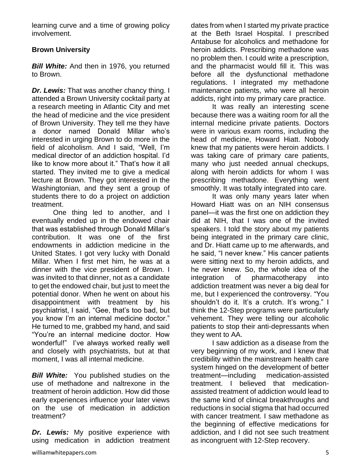learning curve and a time of growing policy involvement.

# **Brown University**

*Bill White:* And then in 1976, you returned to Brown.

*Dr. Lewis:* That was another chancy thing. I attended a Brown University cocktail party at a research meeting in Atlantic City and met the head of medicine and the vice president of Brown University. They tell me they have a donor named Donald Millar who's interested in urging Brown to do more in the field of alcoholism. And I said, "Well, I'm medical director of an addiction hospital. I'd like to know more about it." That's how it all started. They invited me to give a medical lecture at Brown. They got interested in the Washingtonian, and they sent a group of students there to do a project on addiction treatment.

One thing led to another, and I eventually ended up in the endowed chair that was established through Donald Millar's contribution. It was one of the first endowments in addiction medicine in the United States. I got very lucky with Donald Millar. When I first met him, he was at a dinner with the vice president of Brown. I was invited to that dinner, not as a candidate to get the endowed chair, but just to meet the potential donor. When he went on about his disappointment with treatment by his psychiatrist, I said, "Gee, that's too bad, but you know I'm an internal medicine doctor." He turned to me, grabbed my hand, and said "You're an internal medicine doctor. How wonderful!" I've always worked really well and closely with psychiatrists, but at that moment, I was all internal medicine.

*Bill White:* You published studies on the use of methadone and naltrexone in the treatment of heroin addiction. How did those early experiences influence your later views on the use of medication in addiction treatment?

*Dr. Lewis:* My positive experience with using medication in addiction treatment dates from when I started my private practice at the Beth Israel Hospital. I prescribed Antabuse for alcoholics and methadone for heroin addicts. Prescribing methadone was no problem then. I could write a prescription, and the pharmacist would fill it. This was before all the dysfunctional methadone regulations. I integrated my methadone maintenance patients, who were all heroin addicts, right into my primary care practice.

It was really an interesting scene because there was a waiting room for all the internal medicine private patients. Doctors were in various exam rooms, including the head of medicine, Howard Hiatt. Nobody knew that my patients were heroin addicts. I was taking care of primary care patients, many who just needed annual checkups, along with heroin addicts for whom I was prescribing methadone. Everything went smoothly. It was totally integrated into care.

It was only many years later when Howard Hiatt was on an NIH consensus panel—it was the first one on addiction they did at NIH, that I was one of the invited speakers. I told the story about my patients being integrated in the primary care clinic, and Dr. Hiatt came up to me afterwards, and he said, "I never knew." His cancer patients were sitting next to my heroin addicts, and he never knew. So, the whole idea of the integration of pharmacotherapy into addiction treatment was never a big deal for me, but I experienced the controversy. "You shouldn't do it. It's a crutch. It's wrong." I think the 12-Step programs were particularly vehement. They were telling our alcoholic patients to stop their anti-depressants when they went to AA.

I saw addiction as a disease from the very beginning of my work, and I knew that credibility within the mainstream health care system hinged on the development of better treatment—including medication-assisted treatment. I believed that medicationassisted treatment of addiction would lead to the same kind of clinical breakthroughs and reductions in social stigma that had occurred with cancer treatment. I saw methadone as the beginning of effective medications for addiction, and I did not see such treatment as incongruent with 12-Step recovery.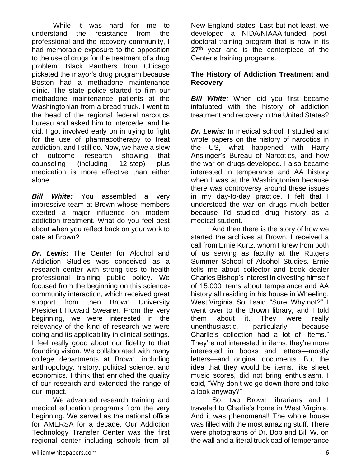While it was hard for me to understand the resistance from the professional and the recovery community, I had memorable exposure to the opposition to the use of drugs for the treatment of a drug problem. Black Panthers from Chicago picketed the mayor's drug program because Boston had a methadone maintenance clinic. The state police started to film our methadone maintenance patients at the Washingtonian from a bread truck. I went to the head of the regional federal narcotics bureau and asked him to intercede, and he did. I got involved early on in trying to fight for the use of pharmacotherapy to treat addiction, and I still do. Now, we have a slew of outcome research showing that counseling (including 12-step) plus medication is more effective than either alone.

*Bill White:* You assembled a very impressive team at Brown whose members exerted a major influence on modern addiction treatment. What do you feel best about when you reflect back on your work to date at Brown?

*Dr. Lewis:* The Center for Alcohol and Addiction Studies was conceived as a research center with strong ties to health professional training public policy. We focused from the beginning on this sciencecommunity interaction, which received great support from then Brown University President Howard Swearer. From the very beginning, we were interested in the relevancy of the kind of research we were doing and its applicability in clinical settings. I feel really good about our fidelity to that founding vision. We collaborated with many college departments at Brown, including anthropology, history, political science, and economics. I think that enriched the quality of our research and extended the range of our impact.

We advanced research training and medical education programs from the very beginning. We served as the national office for AMERSA for a decade. Our Addiction Technology Transfer Center was the first regional center including schools from all New England states. Last but not least, we developed a NIDA/NIAAA-funded postdoctoral training program that is now in its 27<sup>th</sup> year and is the centerpiece of the Center's training programs.

### **The History of Addiction Treatment and Recovery**

*Bill White:* When did you first became infatuated with the history of addiction treatment and recovery in the United States?

*Dr. Lewis:* In medical school, I studied and wrote papers on the history of narcotics in the US, what happened with Harry Anslinger's Bureau of Narcotics, and how the war on drugs developed. I also became interested in temperance and AA history when I was at the Washingtonian because there was controversy around these issues in my day-to-day practice. I felt that I understood the war on drugs much better because I'd studied drug history as a medical student.

And then there is the story of how we started the archives at Brown. I received a call from Ernie Kurtz, whom I knew from both of us serving as faculty at the Rutgers Summer School of Alcohol Studies. Ernie tells me about collector and book dealer Charles Bishop's interest in divesting himself of 15,000 items about temperance and AA history all residing in his house in Wheeling, West Virginia. So, I said, "Sure. Why not?" I went over to the Brown library, and I told them about it. They were really unenthusiastic, particularly because Charlie's collection had a lot of "items." They're not interested in items; they're more interested in books and letters—mostly letters—and original documents. But the idea that they would be items, like sheet music scores, did not bring enthusiasm. I said, "Why don't we go down there and take a look anyway?"

So, two Brown librarians and I traveled to Charlie's home in West Virginia. And it was phenomenal! The whole house was filled with the most amazing stuff. There were photographs of Dr. Bob and Bill W. on the wall and a literal truckload of temperance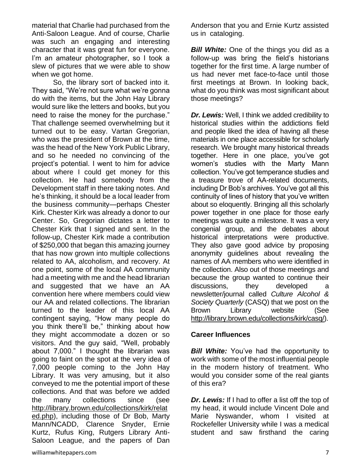material that Charlie had purchased from the Anti-Saloon League. And of course, Charlie was such an engaging and interesting character that it was great fun for everyone. I'm an amateur photographer, so I took a slew of pictures that we were able to show when we got home.

So, the library sort of backed into it. They said, "We're not sure what we're gonna do with the items, but the John Hay Library would sure like the letters and books, but you need to raise the money for the purchase." That challenge seemed overwhelming but it turned out to be easy. Vartan Gregorian, who was the president of Brown at the time, was the head of the New York Public Library, and so he needed no convincing of the project's potential. I went to him for advice about where I could get money for this collection. He had somebody from the Development staff in there taking notes. And he's thinking, it should be a local leader from the business community—perhaps Chester Kirk. Chester Kirk was already a donor to our Center. So, Gregorian dictates a letter to Chester Kirk that I signed and sent. In the follow-up, Chester Kirk made a contribution of \$250,000 that began this amazing journey that has now grown into multiple collections related to AA, alcoholism, and recovery. At one point, some of the local AA community had a meeting with me and the head librarian and suggested that we have an AA convention here where members could view our AA and related collections. The librarian turned to the leader of this local AA contingent saying, "How many people do you think there'll be," thinking about how they might accommodate a dozen or so visitors. And the guy said, "Well, probably about 7,000." I thought the librarian was going to faint on the spot at the very idea of 7,000 people coming to the John Hay Library. It was very amusing, but it also conveyed to me the potential import of these collections. And that was before we added the many collections since (see [http://library.brown.edu/collections/kirk/relat](http://library.brown.edu/collections/kirk/related.php) [ed.php\)](http://library.brown.edu/collections/kirk/related.php), including those of Dr Bob, Marty Mann/NCADD, Clarence Snyder, Ernie Kurtz, Rufus King, Rutgers Library Anti-Saloon League, and the papers of Dan

*Bill White:* One of the things you did as a follow-up was bring the field's historians together for the first time. A large number of us had never met face-to-face until those first meetings at Brown. In looking back, what do you think was most significant about those meetings?

*Dr. Lewis:* Well, I think we added credibility to historical studies within the addictions field and people liked the idea of having all these materials in one place accessible for scholarly research. We brought many historical threads together. Here in one place, you've got women's studies with the Marty Mann collection. You've got temperance studies and a treasure trove of AA-related documents, including Dr Bob's archives. You've got all this continuity of lines of history that you've written about so eloquently. Bringing all this scholarly power together in one place for those early meetings was quite a milestone. It was a very congenial group, and the debates about historical interpretations were productive. They also gave good advice by proposing anonymity guidelines about revealing the names of AA members who were identified in the collection. Also out of those meetings and because the group wanted to continue their discussions, they developed a newsletter/journal called *Culture Alcohol & Society Quarterly* (CASQ) that we post on the Brown Library website (See [http://library.brown.edu/collections/kirk/casq/\)](http://library.brown.edu/collections/kirk/casq/).

# **Career Influences**

*Bill White:* You've had the opportunity to work with some of the most influential people in the modern history of treatment. Who would you consider some of the real giants of this era?

*Dr. Lewis:* If I had to offer a list off the top of my head, it would include Vincent Dole and Marie Nyswander, whom I visited at Rockefeller University while I was a medical student and saw firsthand the caring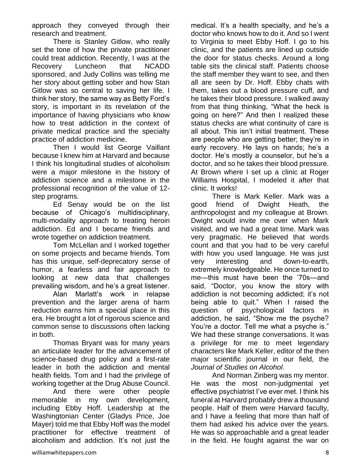approach they conveyed through their research and treatment.

There is Stanley Gitlow, who really set the tone of how the private practitioner could treat addiction. Recently, I was at the Recovery Luncheon that NCADD sponsored, and Judy Collins was telling me her story about getting sober and how Stan Gitlow was so central to saving her life. I think her story, the same way as Betty Ford's story, is important in its revelation of the importance of having physicians who know how to treat addiction in the context of private medical practice and the specialty practice of addiction medicine.

Then I would list George Vaillant because I knew him at Harvard and because I think his longitudinal studies of alcoholism were a major milestone in the history of addiction science and a milestone in the professional recognition of the value of 12 step programs.

Ed Senay would be on the list because of Chicago's multidisciplinary, multi-modality approach to treating heroin addiction. Ed and I became friends and wrote together on addiction treatment.

Tom McLellan and I worked together on some projects and became friends. Tom has this unique, self-deprecatory sense of humor, a fearless and fair approach to looking at new data that challenges prevailing wisdom, and he's a great listener.

Alan Marlatt's work in relapse prevention and the larger arena of harm reduction earns him a special place in this era. He brought a lot of rigorous science and common sense to discussions often lacking in both.

Thomas Bryant was for many years an articulate leader for the advancement of science-based drug policy and a first-rate leader in both the addiction and mental health fields. Tom and I had the privilege of working together at the Drug Abuse Council.

And there were other people memorable in my own development, including Ebby Hoff. Leadership at the Washingtonian Center (Gladys Price, Joe Mayer) told me that Ebby Hoff was the model practitioner for effective treatment of alcoholism and addiction. It's not just the

medical. It's a health specialty, and he's a doctor who knows how to do it. And so I went to Virginia to meet Ebby Hoff. I go to his clinic, and the patients are lined up outside the door for status checks. Around a long table sits the clinical staff. Patients choose the staff member they want to see, and then all are seen by Dr. Hoff. Ebby chats with them, takes out a blood pressure cuff, and he takes their blood pressure. I walked away from that thing thinking, "What the heck is going on here?" And then I realized these status checks are what continuity of care is all about. This isn't initial treatment. These are people who are getting better; they're in early recovery. He lays on hands; he's a doctor. He's mostly a counselor, but he's a doctor, and so he takes their blood pressure. At Brown where I set up a clinic at Roger Williams Hospital, I modeled it after that clinic. It works!

There is Mark Keller. Mark was a good friend of Dwight Heath, the anthropologist and my colleague at Brown. Dwight would invite me over when Mark visited, and we had a great time. Mark was very pragmatic. He believed that words count and that you had to be very careful with how you used language. He was just very interesting and down-to-earth, extremely knowledgeable. He once turned to me—this must have been the '70s—and said, "Doctor, you know the story with addiction is not becoming addicted; it's not being able to quit." When I raised the question of psychological factors in addiction, he said, "Show me the psyche? You're a doctor. Tell me what a psyche is." We had these strange conversations. It was a privilege for me to meet legendary characters like Mark Keller, editor of the then major scientific journal in our field, the *Journal of Studies on Alcohol*.

And Norman Zinberg was my mentor. He was the most non-judgmental yet effective psychiatrist I've ever met. I think his funeral at Harvard probably drew a thousand people. Half of them were Harvard faculty, and I have a feeling that more than half of them had asked his advice over the years. He was so approachable and a great leader in the field. He fought against the war on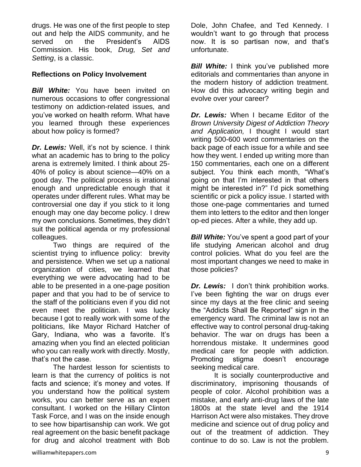drugs. He was one of the first people to step out and help the AIDS community, and he served on the President's AIDS Commission. His book, *Drug, Set and Setting*, is a classic.

#### **Reflections on Policy Involvement**

*Bill White:* You have been invited on numerous occasions to offer congressional testimony on addiction-related issues, and you've worked on health reform. What have you learned through these experiences about how policy is formed?

*Dr. Lewis:* Well, it's not by science. I think what an academic has to bring to the policy arena is extremely limited. I think about 25- 40% of policy is about science—40% on a good day. The political process is irrational enough and unpredictable enough that it operates under different rules. What may be controversial one day if you stick to it long enough may one day become policy. I drew my own conclusions. Sometimes, they didn't suit the political agenda or my professional colleagues.

Two things are required of the scientist trying to influence policy: brevity and persistence. When we set up a national organization of cities, we learned that everything we were advocating had to be able to be presented in a one-page position paper and that you had to be of service to the staff of the politicians even if you did not even meet the politician. I was lucky because I got to really work with some of the politicians, like Mayor Richard Hatcher of Gary, Indiana, who was a favorite. It's amazing when you find an elected politician who you can really work with directly. Mostly, that's not the case.

The hardest lesson for scientists to learn is that the currency of politics is not facts and science; it's money and votes. If you understand how the political system works, you can better serve as an expert consultant. I worked on the Hillary Clinton Task Force, and I was on the inside enough to see how bipartisanship can work. We got real agreement on the basic benefit package for drug and alcohol treatment with Bob Dole, John Chafee, and Ted Kennedy. I wouldn't want to go through that process now. It is so partisan now, and that's unfortunate.

*Bill White:* I think you've published more editorials and commentaries than anyone in the modern history of addiction treatment. How did this advocacy writing begin and evolve over your career?

*Dr. Lewis:* When I became Editor of the *Brown University Digest of Addiction Theory and Application,* I thought I would start writing 500-600 word commentaries on the back page of each issue for a while and see how they went. I ended up writing more than 150 commentaries, each one on a different subject. You think each month, "What's going on that I'm interested in that others might be interested in?" I'd pick something scientific or pick a policy issue. I started with those one-page commentaries and turned them into letters to the editor and then longer op-ed pieces. After a while, they add up.

*Bill White:* You've spent a good part of your life studying American alcohol and drug control policies. What do you feel are the most important changes we need to make in those policies?

*Dr. Lewis:* I don't think prohibition works. I've been fighting the war on drugs ever since my days at the free clinic and seeing the "Addicts Shall Be Reported" sign in the emergency ward. The criminal law is not an effective way to control personal drug-taking behavior. The war on drugs has been a horrendous mistake. It undermines good medical care for people with addiction. Promoting stigma doesn't encourage seeking medical care.

It is socially counterproductive and discriminatory, imprisoning thousands of people of color. Alcohol prohibition was a mistake, and early anti-drug laws of the late 1800s at the state level and the 1914 Harrison Act were also mistakes. They drove medicine and science out of drug policy and out of the treatment of addiction. They continue to do so. Law is not the problem.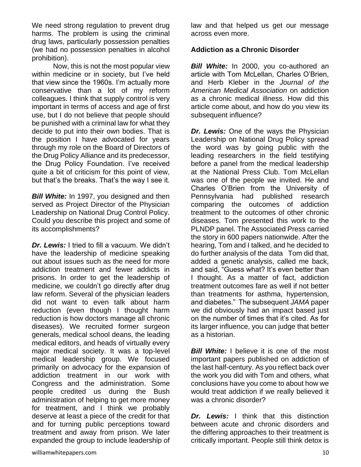We need strong regulation to prevent drug harms. The problem is using the criminal drug laws, particularly possession penalties (we had no possession penalties in alcohol prohibition).

Now, this is not the most popular view within medicine or in society, but I've held that view since the 1960s. I'm actually more conservative than a lot of my reform colleagues. I think that supply control is very important in terms of access and age of first use, but I do not believe that people should be punished with a criminal law for what they decide to put into their own bodies. That is the position I have advocated for years through my role on the Board of Directors of the Drug Policy Alliance and its predecessor, the Drug Policy Foundation. I've received quite a bit of criticism for this point of view, but that's the breaks. That's the way I see it.

**Bill White:** In 1997, you designed and then served as Project Director of the Physician Leadership on National Drug Control Policy. Could you describe this project and some of its accomplishments?

*Dr. Lewis:* I tried to fill a vacuum. We didn't have the leadership of medicine speaking out about issues such as the need for more addiction treatment and fewer addicts in prisons. In order to get the leadership of medicine, we couldn't go directly after drug law reform. Several of the physician leaders did not want to even talk about harm reduction (even though I thought harm reduction is how doctors manage all chronic diseases). We recruited former surgeon generals, medical school deans, the leading medical editors, and heads of virtually every major medical society. It was a top-level medical leadership group. We focused primarily on advocacy for the expansion of addiction treatment in our work with Congress and the administration. Some people credited us during the Bush administration of helping to get more money for treatment, and I think we probably deserve at least a piece of the credit for that and for turning public perceptions toward treatment and away from prison. We later expanded the group to include leadership of law and that helped us get our message across even more.

#### **Addiction as a Chronic Disorder**

*Bill White:* In 2000, you co-authored an article with Tom McLellan, Charles O'Brien, and Herb Kleber in the *Journal of the American Medical Association* on addiction as a chronic medical illness. How did this article come about, and how do you view its subsequent influence?

*Dr. Lewis:* One of the ways the Physician Leadership on National Drug Policy spread the word was by going public with the leading researchers in the field testifying before a panel from the medical leadership at the National Press Club. Tom McLellan was one of the people we invited. He and Charles O'Brien from the University of Pennsylvania had published research comparing the outcomes of addiction treatment to the outcomes of other chronic diseases. Tom presented this work to the PLNDP panel. The Associated Press carried the story in 600 papers nationwide. After the hearing, Tom and I talked, and he decided to do further analysis of the data Tom did that, added a genetic analysis, called me back, and said, "Guess what? It's even better than I thought. As a matter of fact, addiction treatment outcomes fare as well if not better than treatments for asthma, hypertension, and diabetes." The subsequent *JAMA* paper we did obviously had an impact based just on the number of times that it's cited. As for its larger influence, you can judge that better as a historian.

*Bill White:* I believe it is one of the most important papers published on addiction of the last half-century. As you reflect back over the work you did with Tom and others, what conclusions have you come to about how we would treat addiction if we really believed it was a chronic disorder?

*Dr. Lewis:* I think that this distinction between acute and chronic disorders and the differing approaches to their treatment is critically important. People still think detox is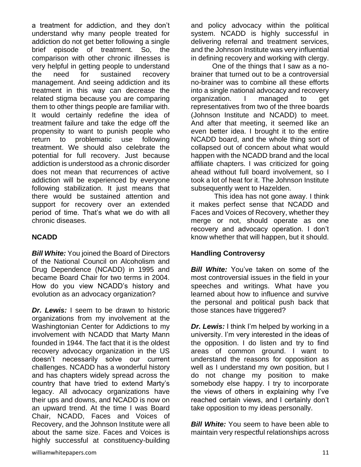a treatment for addiction, and they don't understand why many people treated for addiction do not get better following a single brief episode of treatment. So, the comparison with other chronic illnesses is very helpful in getting people to understand the need for sustained recovery management. And seeing addiction and its treatment in this way can decrease the related stigma because you are comparing them to other things people are familiar with. It would certainly redefine the idea of treatment failure and take the edge off the propensity to want to punish people who return to problematic use following treatment. We should also celebrate the potential for full recovery. Just because addiction is understood as a chronic disorder does not mean that recurrences of active addiction will be experienced by everyone following stabilization. It just means that there would be sustained attention and support for recovery over an extended period of time. That's what we do with all chronic diseases.

# **NCADD**

*Bill White:* You joined the Board of Directors of the National Council on Alcoholism and Drug Dependence (NCADD) in 1995 and became Board Chair for two terms in 2004. How do you view NCADD's history and evolution as an advocacy organization?

*Dr. Lewis:* I seem to be drawn to historic organizations from my involvement at the Washingtonian Center for Addictions to my involvement with NCADD that Marty Mann founded in 1944. The fact that it is the oldest recovery advocacy organization in the US doesn't necessarily solve our current challenges. NCADD has a wonderful history and has chapters widely spread across the country that have tried to extend Marty's legacy. All advocacy organizations have their ups and downs, and NCADD is now on an upward trend. At the time I was Board Chair, NCADD, Faces and Voices of Recovery, and the Johnson Institute were all about the same size. Faces and Voices is highly successful at constituency-building

and policy advocacy within the political system. NCADD is highly successful in delivering referral and treatment services, and the Johnson Institute was very influential in defining recovery and working with clergy.

One of the things that I saw as a nobrainer that turned out to be a controversial no-brainer was to combine all these efforts into a single national advocacy and recovery organization. I managed to get representatives from two of the three boards (Johnson Institute and NCADD) to meet. And after that meeting, it seemed like an even better idea. I brought it to the entire NCADD board, and the whole thing sort of collapsed out of concern about what would happen with the NCADD brand and the local affiliate chapters. I was criticized for going ahead without full board involvement, so I took a lot of heat for it. The Johnson Institute subsequently went to Hazelden.

This idea has not gone away. I think it makes perfect sense that NCADD and Faces and Voices of Recovery, whether they merge or not, should operate as one recovery and advocacy operation. I don't know whether that will happen, but it should.

# **Handling Controversy**

*Bill White:* You've taken on some of the most controversial issues in the field in your speeches and writings. What have you learned about how to influence and survive the personal and political push back that those stances have triggered?

*Dr. Lewis:* I think I'm helped by working in a university. I'm very interested in the ideas of the opposition. I do listen and try to find areas of common ground. I want to understand the reasons for opposition as well as I understand my own position, but I do not change my position to make somebody else happy. I try to incorporate the views of others in explaining why I've reached certain views, and I certainly don't take opposition to my ideas personally.

*Bill White:* You seem to have been able to maintain very respectful relationships across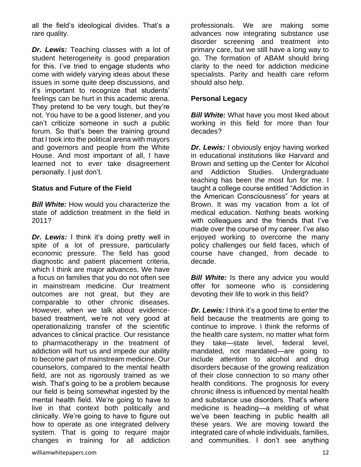all the field's ideological divides. That's a rare quality.

*Dr. Lewis:* Teaching classes with a lot of student heterogeneity is good preparation for this. I've tried to engage students who come with widely varying ideas about these issues in some quite deep discussions, and it's important to recognize that students' feelings can be hurt in this academic arena. They pretend to be very tough, but they're not. You have to be a good listener, and you can't criticize someone in such a public forum. So that's been the training ground that I took into the political arena with mayors and governors and people from the White House. And most important of all, I have learned not to ever take disagreement personally. I just don't.

#### **Status and Future of the Field**

**Bill White:** How would you characterize the state of addiction treatment in the field in 2011?

*Dr. Lewis:* I think it's doing pretty well in spite of a lot of pressure, particularly economic pressure. The field has good diagnostic and patient placement criteria, which I think are major advances. We have a focus on families that you do not often see in mainstream medicine. Our treatment outcomes are not great, but they are comparable to other chronic diseases. However, when we talk about evidencebased treatment, we're not very good at operationalizing transfer of the scientific advances to clinical practice. Our resistance to pharmacotherapy in the treatment of addiction will hurt us and impede our ability to become part of mainstream medicine. Our counselors, compared to the mental health field, are not as rigorously trained as we wish. That's going to be a problem because our field is being somewhat ingested by the mental health field. We're going to have to live in that context both politically and clinically. We're going to have to figure out how to operate as one integrated delivery system. That is going to require major changes in training for all addiction

professionals. We are making some advances now integrating substance use disorder screening and treatment into primary care, but we still have a long way to go. The formation of ABAM should bring clarity to the need for addiction medicine specialists. Parity and health care reform should also help.

#### **Personal Legacy**

**Bill White:** What have you most liked about working in this field for more than four decades?

*Dr. Lewis:* I obviously enjoy having worked in educational institutions like Harvard and Brown and setting up the Center for Alcohol and Addiction Studies. Undergraduate teaching has been the most fun for me. I taught a college course entitled "Addiction in the American Consciousness" for years at Brown. It was my vacation from a lot of medical education. Nothing beats working with colleagues and the friends that I've made over the course of my career. I've also enjoyed working to overcome the many policy challenges our field faces, which of course have changed, from decade to decade.

*Bill White:* Is there any advice you would offer for someone who is considering devoting their life to work in this field?

*Dr. Lewis:* I think it's a good time to enter the field because the treatments are going to continue to improve. I think the reforms of the health care system, no matter what form they take—state level, federal level, mandated, not mandated—are going to include attention to alcohol and drug disorders because of the growing realization of their close connection to so many other health conditions. The prognosis for every chronic illness is influenced by mental health and substance use disorders. That's where medicine is heading—a melding of what we've been teaching in public health all these years. We are moving toward the integrated care of whole individuals, families, and communities. I don't see anything